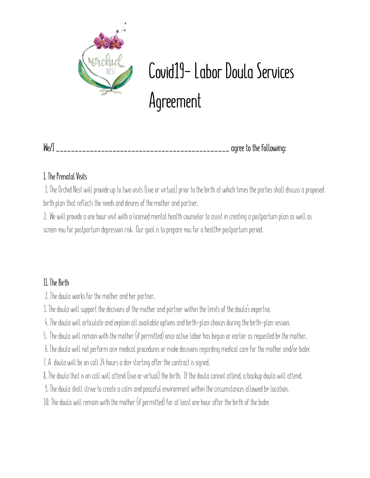

# **Covid19- Labor Doula Services Agreement**

|--|

#### **I. The Prenatal Visits**

 1. The Orchid Nest will provide up to two visits (live or virtual) prior to the birth at which times the parties shall discuss a proposed birth plan that reflects the needs and desires of the mother and partner.

2. We will provide a one hour visit with a licensed mental health counselor to assist in creating a postpartum plan as well as screen you for postpartum depression risk. Our goal is to prepare you for a healthy postpartum period.

#### **II. The Birth**

2. The doula works for the mother and her partner.

3. The doula will support the decisions of the mother and partner within the limits of the doula's expertise.

4. The doula will articulate and explain all available options and birth-plan choices during the birth-plan session.

5. The doula will remain with the mother (if permitted) once active labor has begun or earlier as requested by the mother.

6. The doula will not perform any medical procedures or make decisions regarding medical care for the mother and/or baby.

7. A doula will be on call 24 hours a day starting after the contract is signed.

8. The doula that is on call will attend (live or virtual) the birth. If the doula cannot attend, a backup doula will attend.

9. The doula shall strive to create a calm and peaceful environment within the circumstances allowed by location.

10. The doula will remain with the mother (if permitted) for at least one hour after the birth of the baby.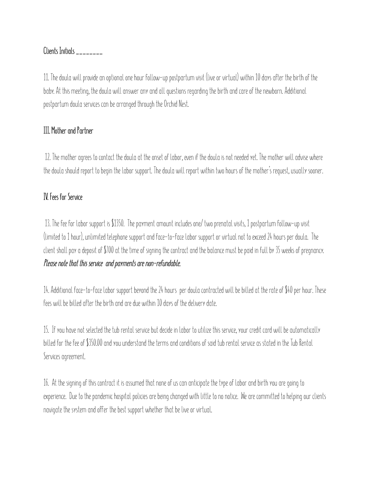#### **Clients Initials \_\_\_\_\_\_\_\_**

11. The doula will provide an optional one hour follow-up postpartum visit (live or virtual) within 10 days after the birth of the baby. At this meeting, the doula will answer any and all questions regarding the birth and care of the newborn. Additional postpartum doula services can be arranged through the Orchid Nest.

#### **III. Mother and Partner**

 12. The mother agrees to contact the doula at the onset of labor, even if the doula is not needed yet. The mother will advise where the doula should report to begin the labor support. The doula will report within two hours of the mother's request, usually sooner.

#### **IV. Fees for Service**

 13. The fee for labor support is \$1350. The payment amount includes one/ two prenatal visits, 1 postpartum follow-up visit (limited to 1 hour), unlimited telephone support and face-to-face labor support or virtual not to exceed 24 hours per doula. The client shall pay a deposit of \$700 at the time of signing the contract and the balance must be paid in full by 35 weeks of pregnancy. *Please note that this service and payments are non-refundable.* 

14. Additional face-to-face labor support beyond the 24 hours per doula contracted will be billed at the rate of \$40 per hour. These fees will be billed after the birth and are due within 10 days of the delivery date.

15. If you have not selected the tub rental service but decide in labor to utilize this service, your credit card will be automatically billed for the fee of \$350.00 and you understand the terms and conditions of said tub rental service as stated in the Tub Rental Services agreement.

16. At the signing of this contract it is assumed that none of us can anticipate the type of labor and birth you are going to experience. Due to the pandemic hospital policies are being changed with little to no notice. We are committed to helping our clients navigate the system and offer the best support whether that be live or virtual.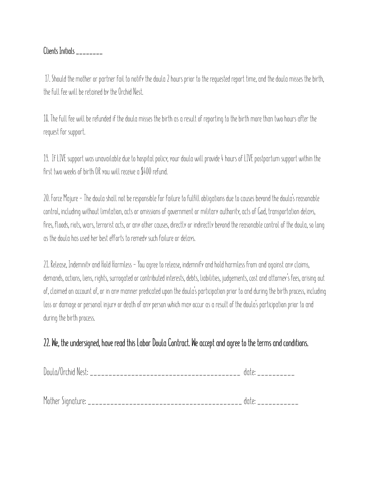#### **Clients Initials \_\_\_\_\_\_\_\_**

 17. Should the mother or partner fail to notify the doula 2 hours prior to the requested report time, and the doula misses the birth, the full fee will be retained by the Orchid Nest.

18. The full fee will be refunded if the doula misses the birth as a result of reporting to the birth more than two hours after the request for support.

19. If LIVE support was unavailable due to hospital policy, your doula will provide 4 hours of LIVE postpartum support within the first two weeks of birth OR you will receive a \$400 refund.

20. Force Majure - The doula shall not be responsible for failure to fulfill obligations due to causes beyond the doula's reasonable control, including without limitation, acts or omissions of government or military authority, acts of God, transportation delays, fires, floods, riots, wars, terrorist acts, or any other causes, directly or indirectly beyond the reasonable control of the doula, so long as the doula has used her best efforts to remedy such failure or delays.

21. Release, Indemnity and Hold Harmless - You agree to release, indemnify and hold harmless from and against any claims, demands, actions, liens, rights, surrogated or contributed interests, debts, liabilities, judgements, cost and attorney's fees, arising out of, claimed on account of, or in any manner predicated upon the doula's participation prior to and during the birth process, including loss or damage or personal injury or death of any person which may occur as a result of the doula's participation prior to and during the birth process.

### **22. We, the undersigned, have read this Labor Doula Contract. We accept and agree to the terms and conditions.**

| ---<br>---------------------------<br>____ | ___ |
|--------------------------------------------|-----|
|--------------------------------------------|-----|

Mother Signature: \_\_\_\_\_\_\_\_\_\_\_\_\_\_\_\_\_\_\_\_\_\_\_\_\_\_\_\_\_\_\_\_\_\_\_\_\_\_\_\_\_ date: \_\_\_\_\_\_\_\_\_\_\_